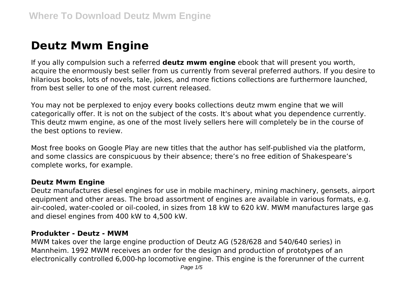# **Deutz Mwm Engine**

If you ally compulsion such a referred **deutz mwm engine** ebook that will present you worth, acquire the enormously best seller from us currently from several preferred authors. If you desire to hilarious books, lots of novels, tale, jokes, and more fictions collections are furthermore launched, from best seller to one of the most current released.

You may not be perplexed to enjoy every books collections deutz mwm engine that we will categorically offer. It is not on the subject of the costs. It's about what you dependence currently. This deutz mwm engine, as one of the most lively sellers here will completely be in the course of the best options to review.

Most free books on Google Play are new titles that the author has self-published via the platform, and some classics are conspicuous by their absence; there's no free edition of Shakespeare's complete works, for example.

## **Deutz Mwm Engine**

Deutz manufactures diesel engines for use in mobile machinery, mining machinery, gensets, airport equipment and other areas. The broad assortment of engines are available in various formats, e.g. air-cooled, water-cooled or oil-cooled, in sizes from 18 kW to 620 kW. MWM manufactures large gas and diesel engines from 400 kW to 4,500 kW.

## **Produkter - Deutz - MWM**

MWM takes over the large engine production of Deutz AG (528/628 and 540/640 series) in Mannheim. 1992 MWM receives an order for the design and production of prototypes of an electronically controlled 6,000-hp locomotive engine. This engine is the forerunner of the current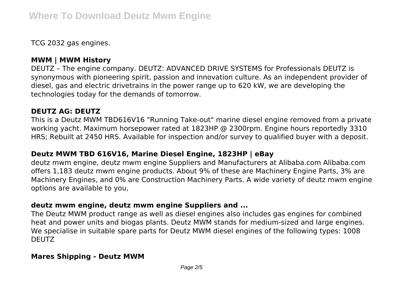TCG 2032 gas engines.

# **MWM | MWM History**

DEUTZ – The engine company. DEUTZ: ADVANCED DRIVE SYSTEMS for Professionals DEUTZ is synonymous with pioneering spirit, passion and innovation culture. As an independent provider of diesel, gas and electric drivetrains in the power range up to 620 kW, we are developing the technologies today for the demands of tomorrow.

## **DEUTZ AG: DEUTZ**

This is a Deutz MWM TBD616V16 "Running Take-out" marine diesel engine removed from a private working yacht. Maximum horsepower rated at 1823HP @ 2300rpm. Engine hours reportedly 3310 HRS; Rebuilt at 2450 HRS. Available for inspection and/or survey to qualified buyer with a deposit.

## **Deutz MWM TBD 616V16, Marine Diesel Engine, 1823HP | eBay**

deutz mwm engine, deutz mwm engine Suppliers and Manufacturers at Alibaba.com Alibaba.com offers 1,183 deutz mwm engine products. About 9% of these are Machinery Engine Parts, 3% are Machinery Engines, and 0% are Construction Machinery Parts. A wide variety of deutz mwm engine options are available to you,

## **deutz mwm engine, deutz mwm engine Suppliers and ...**

The Deutz MWM product range as well as diesel engines also includes gas engines for combined heat and power units and biogas plants. Deutz MWM stands for medium-sized and large engines. We specialise in suitable spare parts for Deutz MWM diesel engines of the following types: 1008 **DEUTZ** 

## **Mares Shipping - Deutz MWM**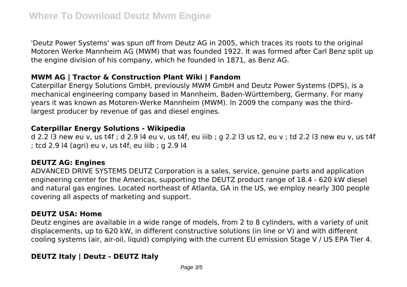'Deutz Power Systems' was spun off from Deutz AG in 2005, which traces its roots to the original Motoren Werke Mannheim AG (MWM) that was founded 1922. It was formed after Carl Benz split up the engine division of his company, which he founded in 1871, as Benz AG.

# **MWM AG | Tractor & Construction Plant Wiki | Fandom**

Caterpillar Energy Solutions GmbH, previously MWM GmbH and Deutz Power Systems (DPS), is a mechanical engineering company based in Mannheim, Baden-Württemberg, Germany. For many years it was known as Motoren-Werke Mannheim (MWM). In 2009 the company was the thirdlargest producer by revenue of gas and diesel engines.

# **Caterpillar Energy Solutions - Wikipedia**

d 2.2 l3 new eu v, us t4f ; d 2.9 l4 eu v, us t4f, eu iiib ; g 2.2 l3 us t2, eu v ; td 2.2 l3 new eu v, us t4f ; tcd 2.9 l4 (agri) eu v, us t4f, eu iiib ; g 2.9 l4

# **DEUTZ AG: Engines**

ADVANCED DRIVE SYSTEMS DEUTZ Corporation is a sales, service, genuine parts and application engineering center for the Americas, supporting the DEUTZ product range of 18.4 - 620 kW diesel and natural gas engines. Located northeast of Atlanta, GA in the US, we employ nearly 300 people covering all aspects of marketing and support.

# **DEUTZ USA: Home**

Deutz engines are available in a wide range of models, from 2 to 8 cylinders, with a variety of unit displacements, up to 620 kW, in different constructive solutions (in line or V) and with different cooling systems (air, air-oil, liquid) complying with the current EU emission Stage V / US EPA Tier 4.

# **DEUTZ Italy | Deutz - DEUTZ Italy**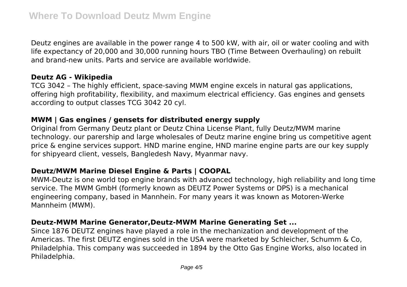Deutz engines are available in the power range 4 to 500 kW, with air, oil or water cooling and with life expectancy of 20,000 and 30,000 running hours TBO (Time Between Overhauling) on rebuilt and brand-new units. Parts and service are available worldwide.

## **Deutz AG - Wikipedia**

TCG 3042 – The highly efficient, space-saving MWM engine excels in natural gas applications, offering high profitability, flexibility, and maximum electrical efficiency. Gas engines and gensets according to output classes TCG 3042 20 cyl.

## **MWM | Gas engines / gensets for distributed energy supply**

Original from Germany Deutz plant or Deutz China License Plant, fully Deutz/MWM marine technology. our parership and large wholesales of Deutz marine engine bring us competitive agent price & engine services support. HND marine engine, HND marine engine parts are our key supply for shipyeard client, vessels, Bangledesh Navy, Myanmar navy.

# **Deutz/MWM Marine Diesel Engine & Parts | COOPAL**

MWM-Deutz is one world top engine brands with advanced technology, high reliability and long time service. The MWM GmbH (formerly known as DEUTZ Power Systems or DPS) is a mechanical engineering company, based in Mannhein. For many years it was known as Motoren-Werke Mannheim (MWM).

# **Deutz-MWM Marine Generator,Deutz-MWM Marine Generating Set ...**

Since 1876 DEUTZ engines have played a role in the mechanization and development of the Americas. The first DEUTZ engines sold in the USA were marketed by Schleicher, Schumm & Co, Philadelphia. This company was succeeded in 1894 by the Otto Gas Engine Works, also located in Philadelphia.